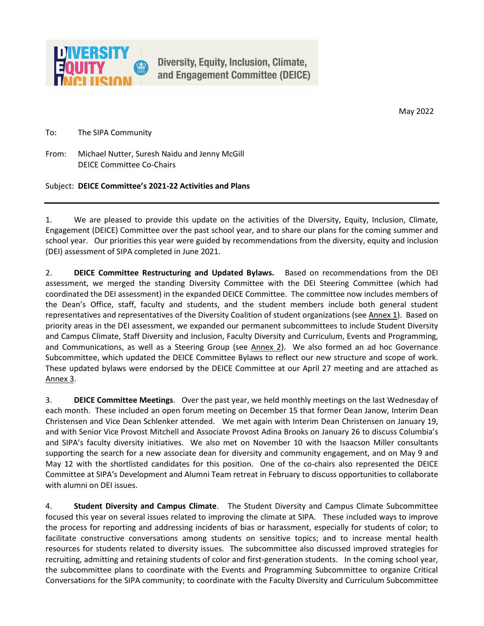May 2022

To: The SIPA Community

From: Michael Nutter, Suresh Naidu and Jenny McGill DEICE Committee Co-Chairs

Subject: **DEICE Committee's 2021-22 Activities and Plans**

1. We are pleased to provide this update on the activities of the Diversity, Equity, Inclusion, Climate, Engagement (DEICE) Committee over the past school year, and to share our plans for the coming summer and school year. Our priorities this year were guided by recommendations from the diversity, equity and inclusion (DEI) assessment of SIPA completed in June 2021.

2. **DEICE Committee Restructuring and Updated Bylaws.** Based on recommendations from the DEI assessment, we merged the standing Diversity Committee with the DEI Steering Committee (which had coordinated the DEI assessment) in the expanded DEICE Committee. The committee now includes members of the Dean's Office, staff, faculty and students, and the student members include both general student representatives and representatives of the Diversity Coalition of student organizations (see Annex 1). Based on priority areas in the DEI assessment, we expanded our permanent subcommittees to include Student Diversity and Campus Climate, Staff Diversity and Inclusion, Faculty Diversity and Curriculum, Events and Programming, and Communications, as well as a Steering Group (see Annex 2). We also formed an ad hoc Governance Subcommittee, which updated the DEICE Committee Bylaws to reflect our new structure and scope of work. These updated bylaws were endorsed by the DEICE Committee at our April 27 meeting and are attached as Annex 3.

3. **DEICE Committee Meetings**. Over the past year, we held monthly meetings on the last Wednesday of each month. These included an open forum meeting on December 15 that former Dean Janow, Interim Dean Christensen and Vice Dean Schlenker attended. We met again with Interim Dean Christensen on January 19, and with Senior Vice Provost Mitchell and Associate Provost Adina Brooks on January 26 to discuss Columbia's and SIPA's faculty diversity initiatives. We also met on November 10 with the Isaacson Miller consultants supporting the search for a new associate dean for diversity and community engagement, and on May 9 and May 12 with the shortlisted candidates for this position. One of the co-chairs also represented the DEICE Committee at SIPA's Development and Alumni Team retreat in February to discuss opportunities to collaborate with alumni on DEI issues.

4. **Student Diversity and Campus Climate**. The Student Diversity and Campus Climate Subcommittee focused this year on several issues related to improving the climate at SIPA. These included ways to improve the process for reporting and addressing incidents of bias or harassment, especially for students of color; to facilitate constructive conversations among students on sensitive topics; and to increase mental health resources for students related to diversity issues. The subcommittee also discussed improved strategies for recruiting, admitting and retaining students of color and first-generation students. In the coming school year, the subcommittee plans to coordinate with the Events and Programming Subcommittee to organize Critical Conversations for the SIPA community; to coordinate with the Faculty Diversity and Curriculum Subcommittee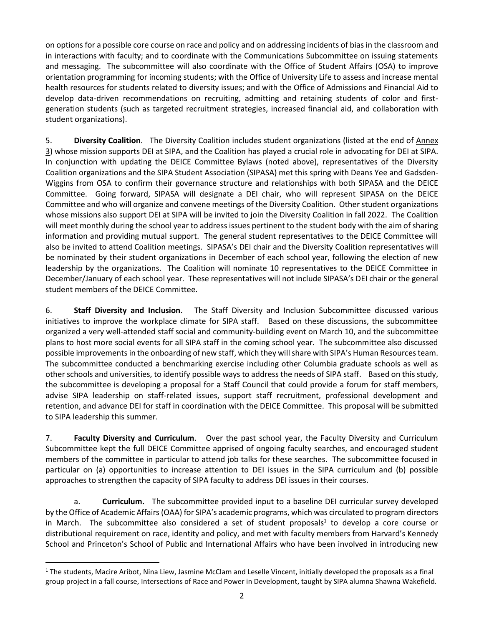on options for a possible core course on race and policy and on addressing incidents of bias in the classroom and in interactions with faculty; and to coordinate with the Communications Subcommittee on issuing statements and messaging. The subcommittee will also coordinate with the Office of Student Affairs (OSA) to improve orientation programming for incoming students; with the Office of University Life to assess and increase mental health resources for students related to diversity issues; and with the Office of Admissions and Financial Aid to develop data-driven recommendations on recruiting, admitting and retaining students of color and firstgeneration students (such as targeted recruitment strategies, increased financial aid, and collaboration with student organizations).

5. **Diversity Coalition**. The Diversity Coalition includes student organizations (listed at the end of Annex 3) whose mission supports DEI at SIPA, and the Coalition has played a crucial role in advocating for DEI at SIPA. In conjunction with updating the DEICE Committee Bylaws (noted above), representatives of the Diversity Coalition organizations and the SIPA Student Association (SIPASA) met this spring with Deans Yee and Gadsden-Wiggins from OSA to confirm their governance structure and relationships with both SIPASA and the DEICE Committee. Going forward, SIPASA will designate a DEI chair, who will represent SIPASA on the DEICE Committee and who will organize and convene meetings of the Diversity Coalition. Other student organizations whose missions also support DEI at SIPA will be invited to join the Diversity Coalition in fall 2022. The Coalition will meet monthly during the school year to address issues pertinent to the student body with the aim of sharing information and providing mutual support. The general student representatives to the DEICE Committee will also be invited to attend Coalition meetings. SIPASA's DEI chair and the Diversity Coalition representatives will be nominated by their student organizations in December of each school year, following the election of new leadership by the organizations. The Coalition will nominate 10 representatives to the DEICE Committee in December/January of each school year. These representatives will not include SIPASA's DEI chair or the general student members of the DEICE Committee.

6. **Staff Diversity and Inclusion**. The Staff Diversity and Inclusion Subcommittee discussed various initiatives to improve the workplace climate for SIPA staff. Based on these discussions, the subcommittee organized a very well-attended staff social and community-building event on March 10, and the subcommittee plans to host more social events for all SIPA staff in the coming school year. The subcommittee also discussed possible improvements in the onboarding of new staff, which they will share with SIPA's Human Resources team. The subcommittee conducted a benchmarking exercise including other Columbia graduate schools as well as other schools and universities, to identify possible ways to address the needs of SIPA staff. Based on this study, the subcommittee is developing a proposal for a Staff Council that could provide a forum for staff members, advise SIPA leadership on staff-related issues, support staff recruitment, professional development and retention, and advance DEI for staff in coordination with the DEICE Committee. This proposal will be submitted to SIPA leadership this summer.

7. **Faculty Diversity and Curriculum**. Over the past school year, the Faculty Diversity and Curriculum Subcommittee kept the full DEICE Committee apprised of ongoing faculty searches, and encouraged student members of the committee in particular to attend job talks for these searches. The subcommittee focused in particular on (a) opportunities to increase attention to DEI issues in the SIPA curriculum and (b) possible approaches to strengthen the capacity of SIPA faculty to address DEI issues in their courses.

a. **Curriculum.** The subcommittee provided input to a baseline DEI curricular survey developed by the Office of Academic Affairs(OAA) for SIPA's academic programs, which was circulated to program directors in March. The subcommittee also considered a set of student proposals<sup>1</sup> to develop a core course or distributional requirement on race, identity and policy, and met with faculty members from Harvard's Kennedy School and Princeton's School of Public and International Affairs who have been involved in introducing new

 $\ddot{\phantom{a}}$ 

 $1$  The students, Macire Aribot, Nina Liew, Jasmine McClam and Leselle Vincent, initially developed the proposals as a final group project in a fall course, Intersections of Race and Power in Development, taught by SIPA alumna Shawna Wakefield.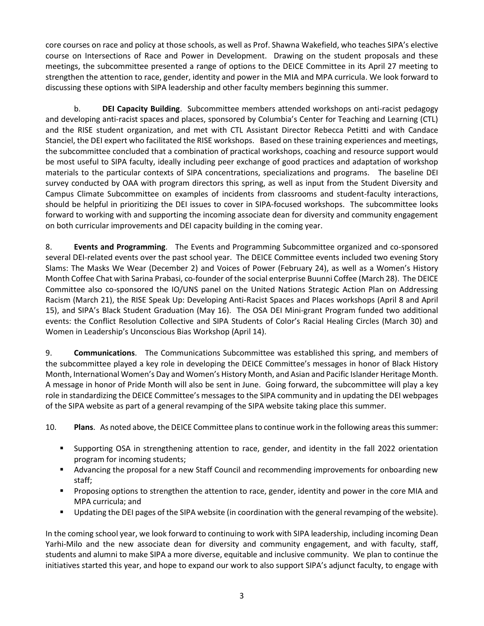core courses on race and policy at those schools, as well as Prof. Shawna Wakefield, who teaches SIPA's elective course on Intersections of Race and Power in Development. Drawing on the student proposals and these meetings, the subcommittee presented a range of options to the DEICE Committee in its April 27 meeting to strengthen the attention to race, gender, identity and power in the MIA and MPA curricula. We look forward to discussing these options with SIPA leadership and other faculty members beginning this summer.

b. **DEI Capacity Building**. Subcommittee members attended workshops on anti-racist pedagogy and developing anti-racist spaces and places, sponsored by Columbia's Center for Teaching and Learning (CTL) and the RISE student organization, and met with CTL Assistant Director Rebecca Petitti and with Candace Stanciel, the DEI expert who facilitated the RISE workshops. Based on these training experiences and meetings, the subcommittee concluded that a combination of practical workshops, coaching and resource support would be most useful to SIPA faculty, ideally including peer exchange of good practices and adaptation of workshop materials to the particular contexts of SIPA concentrations, specializations and programs. The baseline DEI survey conducted by OAA with program directors this spring, as well as input from the Student Diversity and Campus Climate Subcommittee on examples of incidents from classrooms and student-faculty interactions, should be helpful in prioritizing the DEI issues to cover in SIPA-focused workshops. The subcommittee looks forward to working with and supporting the incoming associate dean for diversity and community engagement on both curricular improvements and DEI capacity building in the coming year.

8. **Events and Programming**. The Events and Programming Subcommittee organized and co-sponsored several DEI-related events over the past school year. The DEICE Committee events included two evening Story Slams: The Masks We Wear (December 2) and Voices of Power (February 24), as well as a Women's History Month Coffee Chat with Sarina Prabasi, co-founder of the social enterprise Buunni Coffee (March 28). The DEICE Committee also co-sponsored the IO/UNS panel on the United Nations Strategic Action Plan on Addressing Racism (March 21), the RISE Speak Up: Developing Anti-Racist Spaces and Places workshops (April 8 and April 15), and SIPA's Black Student Graduation (May 16). The OSA DEI Mini-grant Program funded two additional events: the Conflict Resolution Collective and SIPA Students of Color's Racial Healing Circles (March 30) and Women in Leadership's Unconscious Bias Workshop (April 14).

9. **Communications**. The Communications Subcommittee was established this spring, and members of the subcommittee played a key role in developing the DEICE Committee's messages in honor of Black History Month, International Women's Day and Women's History Month, and Asian and Pacific Islander Heritage Month. A message in honor of Pride Month will also be sent in June. Going forward, the subcommittee will play a key role in standardizing the DEICE Committee's messages to the SIPA community and in updating the DEI webpages of the SIPA website as part of a general revamping of the SIPA website taking place this summer.

10. **Plans**. As noted above, the DEICE Committee plans to continue work in the following areas this summer:

- Supporting OSA in strengthening attention to race, gender, and identity in the fall 2022 orientation program for incoming students;
- Advancing the proposal for a new Staff Council and recommending improvements for onboarding new staff;
- **Proposing options to strengthen the attention to race, gender, identity and power in the core MIA and** MPA curricula; and
- **Updating the DEI pages of the SIPA website (in coordination with the general revamping of the website).**

In the coming school year, we look forward to continuing to work with SIPA leadership, including incoming Dean Yarhi-Milo and the new associate dean for diversity and community engagement, and with faculty, staff, students and alumni to make SIPA a more diverse, equitable and inclusive community. We plan to continue the initiatives started this year, and hope to expand our work to also support SIPA's adjunct faculty, to engage with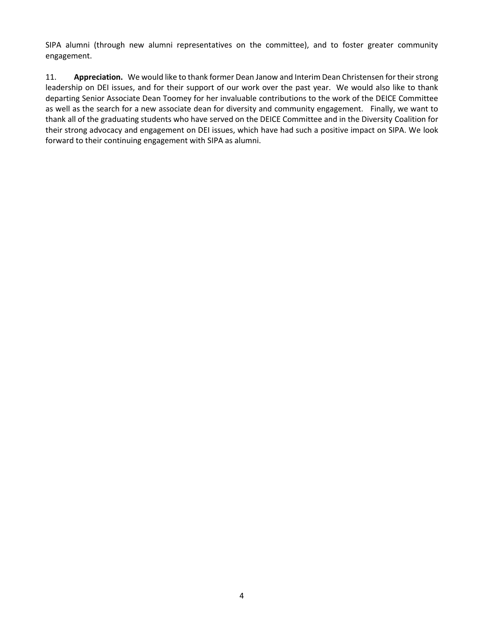SIPA alumni (through new alumni representatives on the committee), and to foster greater community engagement.

11. **Appreciation.** We would like to thank former Dean Janow and Interim Dean Christensen for their strong leadership on DEI issues, and for their support of our work over the past year. We would also like to thank departing Senior Associate Dean Toomey for her invaluable contributions to the work of the DEICE Committee as well as the search for a new associate dean for diversity and community engagement. Finally, we want to thank all of the graduating students who have served on the DEICE Committee and in the Diversity Coalition for their strong advocacy and engagement on DEI issues, which have had such a positive impact on SIPA. We look forward to their continuing engagement with SIPA as alumni.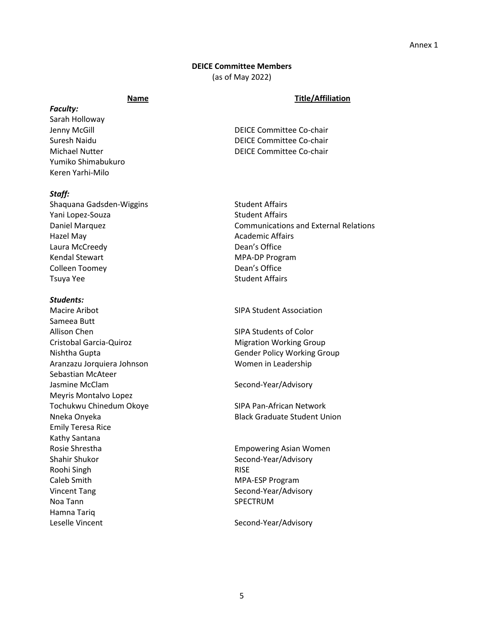## **DEICE Committee Members**

(as of May 2022)

#### **Name Title/Affiliation**

*Faculty:* Sarah Holloway Jenny McGill **DEICE Committee Co-chair** Yumiko Shimabukuro Keren Yarhi-Milo

#### *Staff:*

Shaquana Gadsden-Wiggins Shaquana Gadsden-Wiggins Student Affairs Yani Lopez-Souza Student Affairs Hazel May **Academic Affairs** Laura McCreedy **Dean's Office** Kendal Stewart MPA-DP Program Colleen Toomey Dean's Office Tsuya Yee Student Affairs

#### *Students:*

Macire Aribot National SIPA Student Association Sameea Butt Allison Chen SIPA Students of Color Cristobal Garcia-Quiroz **Migration Working Group** Nishtha Gupta Gender Policy Working Group Aranzazu Jorquiera Johnson Women in Leadership Sebastian McAteer Jasmine McClam Second-Year/Advisory Meyris Montalvo Lopez Tochukwu Chinedum Okoye SIPA Pan-African Network Emily Teresa Rice Kathy Santana Rosie Shrestha Empowering Asian Women Shahir Shukor Shahir Shukor Second-Year/Advisory Roohi Singh **Rise and American** RISE Caleb Smith MPA-ESP Program Vincent Tang Second-Year/Advisory Noa Tann SPECTRUM Hamna Tariq Leselle Vincent **Second-Year/Advisory** Second-Year/Advisory

Suresh Naidu DEICE Committee Co-chair Michael Nutter DEICE Committee Co-chair

Daniel Marquez **Communications and External Relations** 

Nneka Onyeka Black Graduate Student Union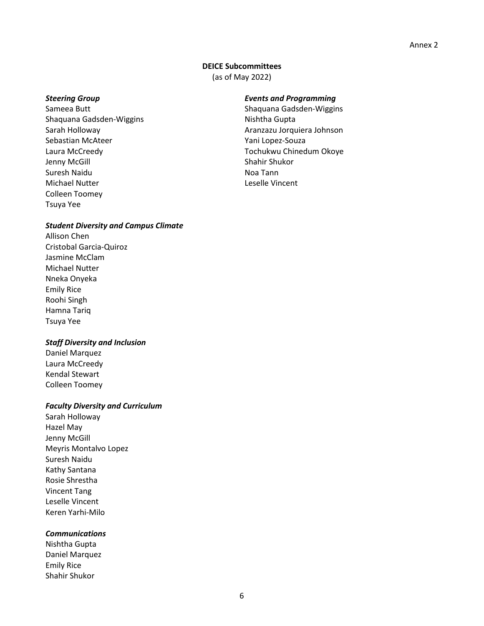## **DEICE Subcommittees**

(as of May 2022)

Shaquana Gadsden-Wiggins Nishtha Gupta Sarah Holloway **Aranzazu Jorquiera Johnson** Sebastian McAteer Yani Lopez-Souza Laura McCreedy Tochukwu Chinedum Okoye Jenny McGill Shahir Shukor Suresh Naidu Noa Tann Noa Tann Michael Nutter Leselle Vincent Colleen Toomey Tsuya Yee

## *Steering Group Events and Programming*

Sameea Butt Shaquana Gadsden-Wiggins

## *Student Diversity and Campus Climate*

Allison Chen Cristobal Garcia-Quiroz Jasmine McClam Michael Nutter Nneka Onyeka Emily Rice Roohi Singh Hamna Tariq Tsuya Yee

## *Staff Diversity and Inclusion*

Daniel Marquez Laura McCreedy Kendal Stewart Colleen Toomey

## *Faculty Diversity and Curriculum*

Sarah Holloway Hazel May Jenny McGill Meyris Montalvo Lopez Suresh Naidu Kathy Santana Rosie Shrestha Vincent Tang Leselle Vincent Keren Yarhi-Milo

## *Communications*

Nishtha Gupta Daniel Marquez Emily Rice Shahir Shukor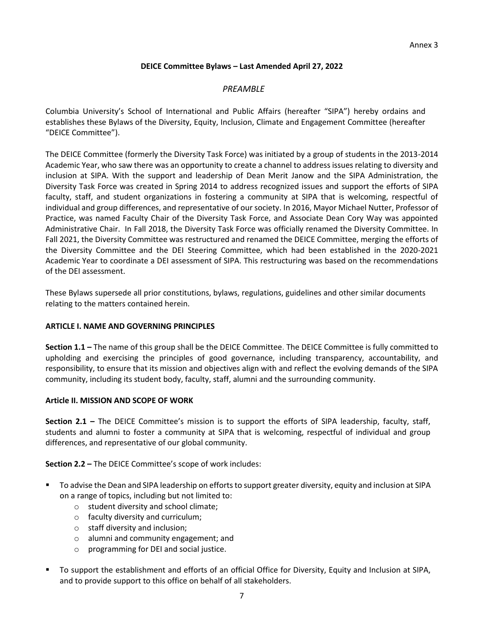# **DEICE Committee Bylaws – Last Amended April 27, 2022**

# *PREAMBLE*

Columbia University's School of International and Public Affairs (hereafter "SIPA") hereby ordains and establishes these Bylaws of the Diversity, Equity, Inclusion, Climate and Engagement Committee (hereafter "DEICE Committee").

The DEICE Committee (formerly the Diversity Task Force) was initiated by a group of students in the 2013-2014 Academic Year, who saw there was an opportunity to create a channel to address issues relating to diversity and inclusion at SIPA. With the support and leadership of Dean Merit Janow and the SIPA Administration, the Diversity Task Force was created in Spring 2014 to address recognized issues and support the efforts of SIPA faculty, staff, and student organizations in fostering a community at SIPA that is welcoming, respectful of individual and group differences, and representative of our society. In 2016, Mayor Michael Nutter, Professor of Practice, was named Faculty Chair of the Diversity Task Force, and Associate Dean Cory Way was appointed Administrative Chair. In Fall 2018, the Diversity Task Force was officially renamed the Diversity Committee. In Fall 2021, the Diversity Committee was restructured and renamed the DEICE Committee, merging the efforts of the Diversity Committee and the DEI Steering Committee, which had been established in the 2020-2021 Academic Year to coordinate a DEI assessment of SIPA. This restructuring was based on the recommendations of the DEI assessment.

These Bylaws supersede all prior constitutions, bylaws, regulations, guidelines and other similar documents relating to the matters contained herein.

## **ARTICLE I. NAME AND GOVERNING PRINCIPLES**

**Section 1.1 –** The name of this group shall be the DEICE Committee. The DEICE Committee is fully committed to upholding and exercising the principles of good governance, including transparency, accountability, and responsibility, to ensure that its mission and objectives align with and reflect the evolving demands of the SIPA community, including its student body, faculty, staff, alumni and the surrounding community.

## **Article II. MISSION AND SCOPE OF WORK**

**Section 2.1 –** The DEICE Committee's mission is to support the efforts of SIPA leadership, faculty, staff, students and alumni to foster a community at SIPA that is welcoming, respectful of individual and group differences, and representative of our global community.

**Section 2.2 –** The DEICE Committee's scope of work includes:

- To advise the Dean and SIPA leadership on efforts to support greater diversity, equity and inclusion at SIPA on a range of topics, including but not limited to:
	- o student diversity and school climate;
	- o faculty diversity and curriculum;
	- o staff diversity and inclusion;
	- o alumni and community engagement; and
	- o programming for DEI and social justice.
- To support the establishment and efforts of an official Office for Diversity, Equity and Inclusion at SIPA, and to provide support to this office on behalf of all stakeholders.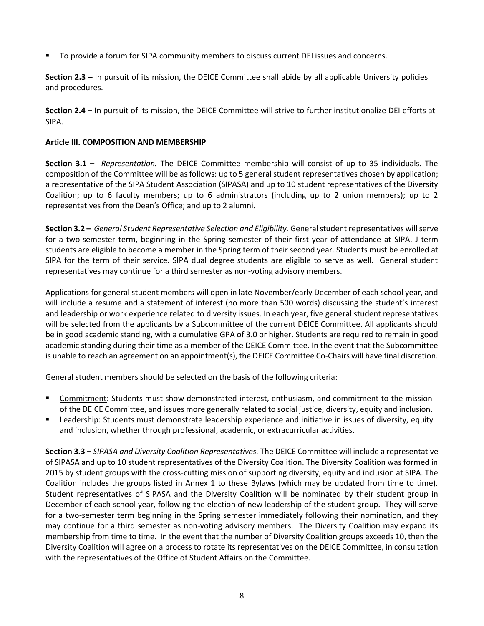To provide a forum for SIPA community members to discuss current DEI issues and concerns.

**Section 2.3 –** In pursuit of its mission, the DEICE Committee shall abide by all applicable University policies and procedures.

**Section 2.4 –** In pursuit of its mission, the DEICE Committee will strive to further institutionalize DEI efforts at SIPA.

## **Article III. COMPOSITION AND MEMBERSHIP**

**Section 3.1 –** *Representation.* The DEICE Committee membership will consist of up to 35 individuals. The composition of the Committee will be as follows: up to 5 general student representatives chosen by application; a representative of the SIPA Student Association (SIPASA) and up to 10 student representatives of the Diversity Coalition; up to 6 faculty members; up to 6 administrators (including up to 2 union members); up to 2 representatives from the Dean's Office; and up to 2 alumni.

**Section 3.2 –** *General Student Representative Selection and Eligibility.* General student representatives will serve for a two-semester term, beginning in the Spring semester of their first year of attendance at SIPA. J-term students are eligible to become a member in the Spring term of their second year. Students must be enrolled at SIPA for the term of their service. SIPA dual degree students are eligible to serve as well. General student representatives may continue for a third semester as non-voting advisory members.

Applications for general student members will open in late November/early December of each school year, and will include a resume and a statement of interest (no more than 500 words) discussing the student's interest and leadership or work experience related to diversity issues. In each year, five general student representatives will be selected from the applicants by a Subcommittee of the current DEICE Committee. All applicants should be in good academic standing, with a cumulative GPA of 3.0 or higher. Students are required to remain in good academic standing during their time as a member of the DEICE Committee. In the event that the Subcommittee is unable to reach an agreement on an appointment(s), the DEICE Committee Co-Chairs will have final discretion.

General student members should be selected on the basis of the following criteria:

- Commitment: Students must show demonstrated interest, enthusiasm, and commitment to the mission of the DEICE Committee, and issues more generally related to social justice, diversity, equity and inclusion.
- **Earthary Exercity:** Students must demonstrate leadership experience and initiative in issues of diversity, equity and inclusion, whether through professional, academic, or extracurricular activities.

**Section 3.3 –** *SIPASA and Diversity Coalition Representatives.* The DEICE Committee will include a representative of SIPASA and up to 10 student representatives of the Diversity Coalition. The Diversity Coalition was formed in 2015 by student groups with the cross-cutting mission of supporting diversity, equity and inclusion at SIPA. The Coalition includes the groups listed in Annex 1 to these Bylaws (which may be updated from time to time). Student representatives of SIPASA and the Diversity Coalition will be nominated by their student group in December of each school year, following the election of new leadership of the student group. They will serve for a two-semester term beginning in the Spring semester immediately following their nomination, and they may continue for a third semester as non-voting advisory members. The Diversity Coalition may expand its membership from time to time. In the event that the number of Diversity Coalition groups exceeds 10, then the Diversity Coalition will agree on a process to rotate its representatives on the DEICE Committee, in consultation with the representatives of the Office of Student Affairs on the Committee.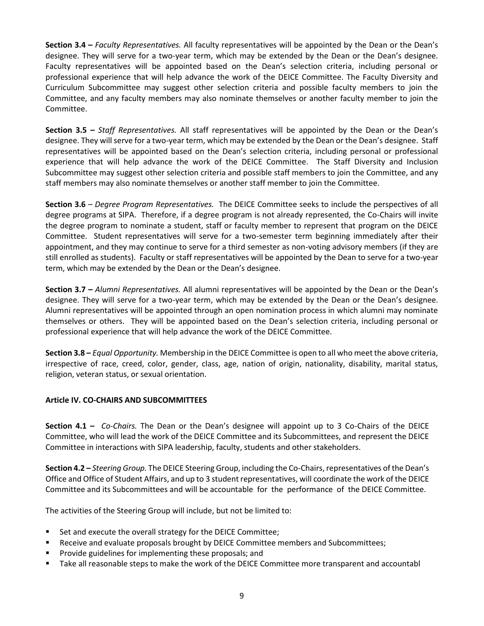**Section 3.4 –** *Faculty Representatives.* All faculty representatives will be appointed by the Dean or the Dean's designee. They will serve for a two-year term, which may be extended by the Dean or the Dean's designee. Faculty representatives will be appointed based on the Dean's selection criteria, including personal or professional experience that will help advance the work of the DEICE Committee. The Faculty Diversity and Curriculum Subcommittee may suggest other selection criteria and possible faculty members to join the Committee, and any faculty members may also nominate themselves or another faculty member to join the Committee.

**Section 3.5 –** *Staff Representatives.* All staff representatives will be appointed by the Dean or the Dean's designee. They will serve for a two-year term, which may be extended by the Dean or the Dean's designee. Staff representatives will be appointed based on the Dean's selection criteria, including personal or professional experience that will help advance the work of the DEICE Committee. The Staff Diversity and Inclusion Subcommittee may suggest other selection criteria and possible staff members to join the Committee, and any staff members may also nominate themselves or another staff member to join the Committee.

**Section 3.6** – *Degree Program Representatives.* The DEICE Committee seeks to include the perspectives of all degree programs at SIPA. Therefore, if a degree program is not already represented, the Co-Chairs will invite the degree program to nominate a student, staff or faculty member to represent that program on the DEICE Committee. Student representatives will serve for a two-semester term beginning immediately after their appointment, and they may continue to serve for a third semester as non-voting advisory members (if they are still enrolled as students). Faculty or staff representatives will be appointed by the Dean to serve for a two-year term, which may be extended by the Dean or the Dean's designee.

**Section 3.7 –** *Alumni Representatives.* All alumni representatives will be appointed by the Dean or the Dean's designee. They will serve for a two-year term, which may be extended by the Dean or the Dean's designee. Alumni representatives will be appointed through an open nomination process in which alumni may nominate themselves or others. They will be appointed based on the Dean's selection criteria, including personal or professional experience that will help advance the work of the DEICE Committee.

**Section 3.8 –** *Equal Opportunity.* Membership in the DEICE Committee is open to all who meet the above criteria, irrespective of race, creed, color, gender, class, age, nation of origin, nationality, disability, marital status, religion, veteran status, or sexual orientation.

# **Article IV. CO-CHAIRS AND SUBCOMMITTEES**

**Section 4.1 –** *Co-Chairs.* The Dean or the Dean's designee will appoint up to 3 Co-Chairs of the DEICE Committee, who will lead the work of the DEICE Committee and its Subcommittees, and represent the DEICE Committee in interactions with SIPA leadership, faculty, students and other stakeholders.

**Section 4.2 –** *Steering Group.* The DEICE Steering Group, including the Co-Chairs, representatives of the Dean's Office and Office of Student Affairs, and up to 3 student representatives, will coordinate the work of the DEICE Committee and its Subcommittees and will be accountable for the performance of the DEICE Committee.

The activities of the Steering Group will include, but not be limited to:

- Set and execute the overall strategy for the DEICE Committee;
- **Receive and evaluate proposals brought by DEICE Committee members and Subcommittees;**
- Provide guidelines for implementing these proposals; and
- **The Steps 1** Take all reasonable steps to make the work of the DEICE Committee more transparent and accountabl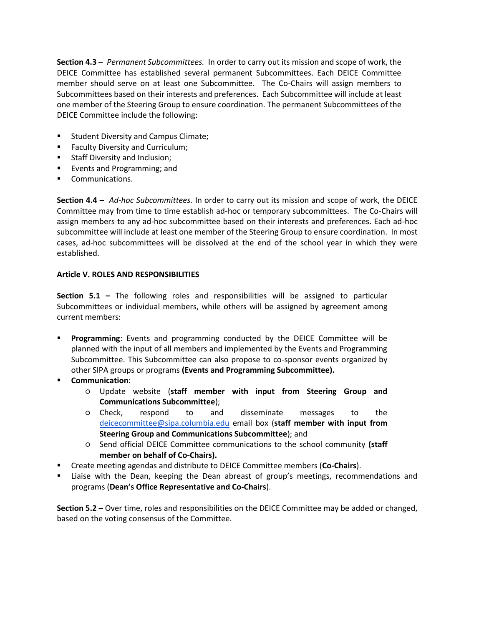**Section 4.3 –** *Permanent Subcommittees.* In order to carry out its mission and scope of work, the DEICE Committee has established several permanent Subcommittees. Each DEICE Committee member should serve on at least one Subcommittee. The Co-Chairs will assign members to Subcommittees based on their interests and preferences. Each Subcommittee will include at least one member of the Steering Group to ensure coordination. The permanent Subcommittees of the DEICE Committee include the following:

- Student Diversity and Campus Climate;
- **Faculty Diversity and Curriculum;**
- **Staff Diversity and Inclusion;**
- **Events and Programming; and**
- Communications.

**Section 4.4 –** *Ad-hoc Subcommittees.* In order to carry out its mission and scope of work, the DEICE Committee may from time to time establish ad-hoc or temporary subcommittees. The Co-Chairs will assign members to any ad-hoc subcommittee based on their interests and preferences. Each ad-hoc subcommittee will include at least one member of the Steering Group to ensure coordination. In most cases, ad-hoc subcommittees will be dissolved at the end of the school year in which they were established.

# **Article V. ROLES AND RESPONSIBILITIES**

**Section 5.1 –** The following roles and responsibilities will be assigned to particular Subcommittees or individual members, while others will be assigned by agreement among current members:

- **Programming**: Events and programming conducted by the DEICE Committee will be planned with the input of all members and implemented by the Events and Programming Subcommittee. This Subcommittee can also propose to co-sponsor events organized by other SIPA groups or programs **(Events and Programming Subcommittee).**
- **Communication**:
	- Update website (**staff member with input from Steering Group and Communications Subcommittee**);
	- Check, respond to and disseminate messages to the [deicecommittee@sipa.columbia.edu](mailto:diversitytaskforce@sipa.columbia.edu) email box (**staff member with input from Steering Group and Communications Subcommittee**); and
	- Send official DEICE Committee communications to the school community **(staff member on behalf of Co-Chairs).**
- Create meeting agendas and distribute to DEICE Committee members (**Co-Chairs**).
- Liaise with the Dean, keeping the Dean abreast of group's meetings, recommendations and programs (**Dean's Office Representative and Co-Chairs**).

**Section 5.2 –** Over time, roles and responsibilities on the DEICE Committee may be added or changed, based on the voting consensus of the Committee.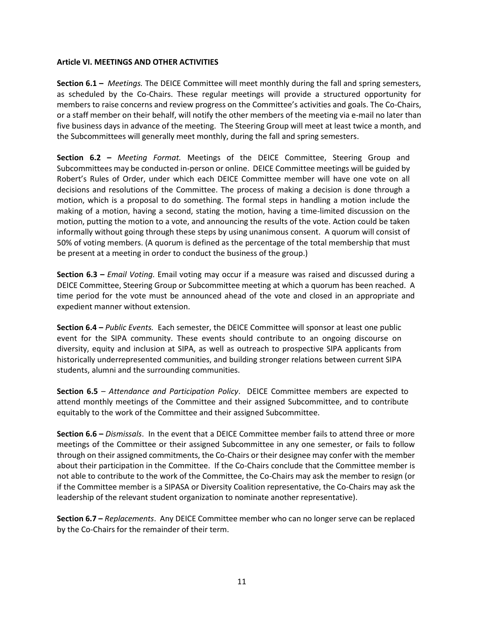## **Article VI. MEETINGS AND OTHER ACTIVITIES**

**Section 6.1 –** *Meetings.* The DEICE Committee will meet monthly during the fall and spring semesters, as scheduled by the Co-Chairs. These regular meetings will provide a structured opportunity for members to raise concerns and review progress on the Committee's activities and goals. The Co-Chairs, or a staff member on their behalf, will notify the other members of the meeting via e-mail no later than five business days in advance of the meeting. The Steering Group will meet at least twice a month, and the Subcommittees will generally meet monthly, during the fall and spring semesters.

**Section 6.2 –** *Meeting Format.* Meetings of the DEICE Committee, Steering Group and Subcommittees may be conducted in-person or online. DEICE Committee meetings will be guided by Robert's Rules of Order, under which each DEICE Committee member will have one vote on all decisions and resolutions of the Committee. The process of making a decision is done through a motion, which is a proposal to do something. The formal steps in handling a motion include the making of a motion, having a second, stating the motion, having a time-limited discussion on the motion, putting the motion to a vote, and announcing the results of the vote. Action could be taken informally without going through these steps by using unanimous consent. A quorum will consist of 50% of voting members. (A quorum is defined as the percentage of the total membership that must be present at a meeting in order to conduct the business of the group.)

**Section 6.3 –** *Email Voting*. Email voting may occur if a measure was raised and discussed during a DEICE Committee, Steering Group or Subcommittee meeting at which a quorum has been reached. A time period for the vote must be announced ahead of the vote and closed in an appropriate and expedient manner without extension.

**Section 6.4 –** *Public Events.* Each semester, the DEICE Committee will sponsor at least one public event for the SIPA community. These events should contribute to an ongoing discourse on diversity, equity and inclusion at SIPA, as well as outreach to prospective SIPA applicants from historically underrepresented communities, and building stronger relations between current SIPA students, alumni and the surrounding communities.

**Section 6.5** – *Attendance and Participation Policy*. DEICE Committee members are expected to attend monthly meetings of the Committee and their assigned Subcommittee, and to contribute equitably to the work of the Committee and their assigned Subcommittee.

**Section 6.6 –** *Dismissals*. In the event that a DEICE Committee member fails to attend three or more meetings of the Committee or their assigned Subcommittee in any one semester, or fails to follow through on their assigned commitments, the Co-Chairs or their designee may confer with the member about their participation in the Committee. If the Co-Chairs conclude that the Committee member is not able to contribute to the work of the Committee, the Co-Chairs may ask the member to resign (or if the Committee member is a SIPASA or Diversity Coalition representative, the Co-Chairs may ask the leadership of the relevant student organization to nominate another representative).

**Section 6.7 –** *Replacements*. Any DEICE Committee member who can no longer serve can be replaced by the Co-Chairs for the remainder of their term.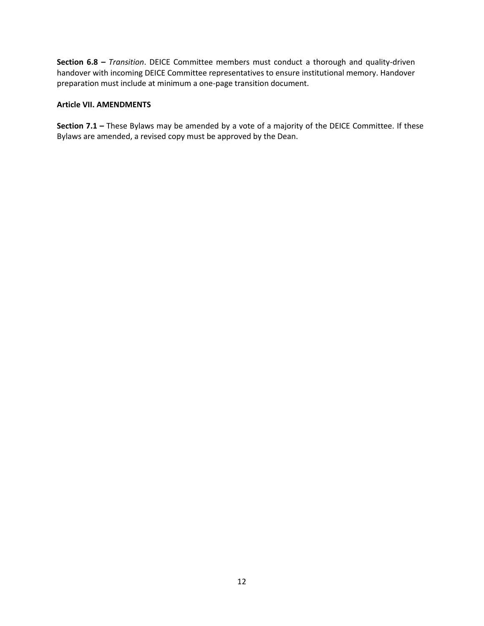**Section 6.8 –** *Transition*. DEICE Committee members must conduct a thorough and quality-driven handover with incoming DEICE Committee representatives to ensure institutional memory. Handover preparation must include at minimum a one-page transition document.

## **Article VII. AMENDMENTS**

**Section 7.1 –** These Bylaws may be amended by a vote of a majority of the DEICE Committee. If these Bylaws are amended, a revised copy must be approved by the Dean.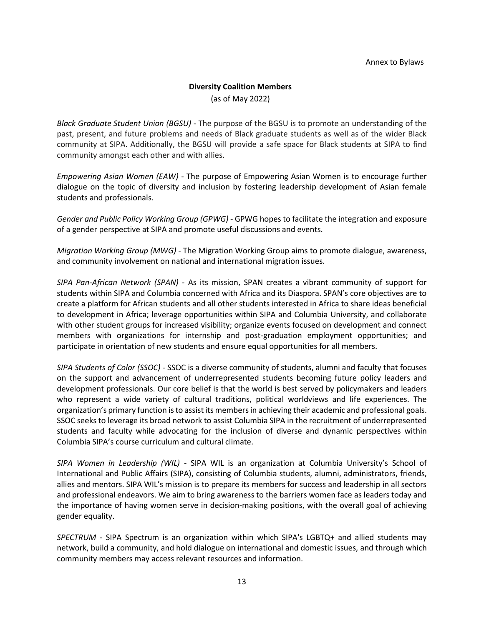## **Diversity Coalition Members**

(as of May 2022)

*Black Graduate Student Union (BGSU)* - The purpose of the BGSU is to promote an understanding of the past, present, and future problems and needs of Black graduate students as well as of the wider Black community at SIPA. Additionally, the BGSU will provide a safe space for Black students at SIPA to find community amongst each other and with allies.

*Empowering Asian Women (EAW)* - The purpose of Empowering Asian Women is to encourage further dialogue on the topic of diversity and inclusion by fostering leadership development of Asian female students and professionals.

*Gender and Public Policy Working Group (GPWG)* - GPWG hopes to facilitate the integration and exposure of a gender perspective at SIPA and promote useful discussions and events.

*Migration Working Group (MWG)* - The Migration Working Group aims to promote dialogue, awareness, and community involvement on national and international migration issues.

*SIPA Pan-African Network (SPAN)* - As its mission, SPAN creates a vibrant community of support for students within SIPA and Columbia concerned with Africa and its Diaspora. SPAN's core objectives are to create a platform for African students and all other students interested in Africa to share ideas beneficial to development in Africa; leverage opportunities within SIPA and Columbia University, and collaborate with other student groups for increased visibility; organize events focused on development and connect members with organizations for internship and post-graduation employment opportunities; and participate in orientation of new students and ensure equal opportunities for all members.

*SIPA Students of Color (SSOC)* - SSOC is a diverse community of students, alumni and faculty that focuses on the support and advancement of underrepresented students becoming future policy leaders and development professionals. Our core belief is that the world is best served by policymakers and leaders who represent a wide variety of cultural traditions, political worldviews and life experiences. The organization's primary function is to assist its members in achieving their academic and professional goals. SSOC seeks to leverage its broad network to assist Columbia SIPA in the recruitment of underrepresented students and faculty while advocating for the inclusion of diverse and dynamic perspectives within Columbia SIPA's course curriculum and cultural climate.

*SIPA Women in Leadership (WIL)* - SIPA WIL is an organization at Columbia University's School of International and Public Affairs (SIPA), consisting of Columbia students, alumni, administrators, friends, allies and mentors. SIPA WIL's mission is to prepare its members for success and leadership in all sectors and professional endeavors. We aim to bring awareness to the barriers women face as leaders today and the importance of having women serve in decision-making positions, with the overall goal of achieving gender equality.

*SPECTRUM* - SIPA Spectrum is an organization within which SIPA's LGBTQ+ and allied students may network, build a community, and hold dialogue on international and domestic issues, and through which community members may access relevant resources and information.